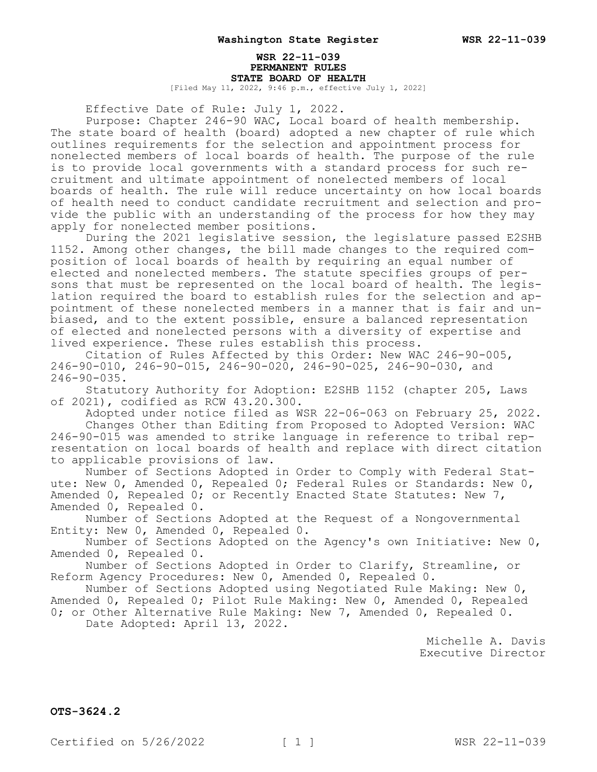# **WSR 22-11-039 PERMANENT RULES STATE BOARD OF HEALTH**

[Filed May 11, 2022, 9:46 p.m., effective July 1, 2022]

Effective Date of Rule: July 1, 2022.

Purpose: Chapter 246-90 WAC, Local board of health membership. The state board of health (board) adopted a new chapter of rule which outlines requirements for the selection and appointment process for nonelected members of local boards of health. The purpose of the rule is to provide local governments with a standard process for such recruitment and ultimate appointment of nonelected members of local boards of health. The rule will reduce uncertainty on how local boards of health need to conduct candidate recruitment and selection and provide the public with an understanding of the process for how they may apply for nonelected member positions.

During the 2021 legislative session, the legislature passed E2SHB 1152. Among other changes, the bill made changes to the required composition of local boards of health by requiring an equal number of elected and nonelected members. The statute specifies groups of persons that must be represented on the local board of health. The legislation required the board to establish rules for the selection and appointment of these nonelected members in a manner that is fair and unbiased, and to the extent possible, ensure a balanced representation of elected and nonelected persons with a diversity of expertise and lived experience. These rules establish this process.

Citation of Rules Affected by this Order: New WAC 246-90-005, 246-90-010, 246-90-015, 246-90-020, 246-90-025, 246-90-030, and 246-90-035.

Statutory Authority for Adoption: E2SHB 1152 (chapter 205, Laws of 2021), codified as RCW 43.20.300.

Adopted under notice filed as WSR 22-06-063 on February 25, 2022. Changes Other than Editing from Proposed to Adopted Version: WAC 246-90-015 was amended to strike language in reference to tribal representation on local boards of health and replace with direct citation to applicable provisions of law.

Number of Sections Adopted in Order to Comply with Federal Statute: New 0, Amended 0, Repealed 0; Federal Rules or Standards: New 0, Amended 0, Repealed 0; or Recently Enacted State Statutes: New 7, Amended 0, Repealed 0.

Number of Sections Adopted at the Request of a Nongovernmental Entity: New 0, Amended 0, Repealed 0.

Number of Sections Adopted on the Agency's own Initiative: New 0, Amended 0, Repealed 0.

Number of Sections Adopted in Order to Clarify, Streamline, or Reform Agency Procedures: New 0, Amended 0, Repealed 0.

Number of Sections Adopted using Negotiated Rule Making: New 0, Amended 0, Repealed 0; Pilot Rule Making: New 0, Amended 0, Repealed 0; or Other Alternative Rule Making: New 7, Amended 0, Repealed 0.

Date Adopted: April 13, 2022.

Michelle A. Davis Executive Director

**OTS-3624.2**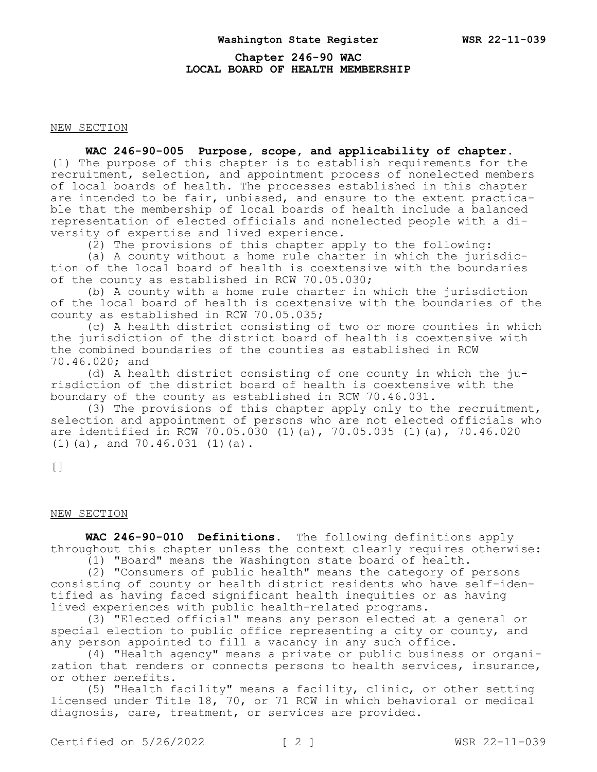# **Chapter 246-90 WAC LOCAL BOARD OF HEALTH MEMBERSHIP**

NEW SECTION

**WAC 246-90-005 Purpose, scope, and applicability of chapter.** 

(1) The purpose of this chapter is to establish requirements for the recruitment, selection, and appointment process of nonelected members of local boards of health. The processes established in this chapter are intended to be fair, unbiased, and ensure to the extent practicable that the membership of local boards of health include a balanced representation of elected officials and nonelected people with a diversity of expertise and lived experience.

(2) The provisions of this chapter apply to the following:

(a) A county without a home rule charter in which the jurisdiction of the local board of health is coextensive with the boundaries of the county as established in RCW 70.05.030;

(b) A county with a home rule charter in which the jurisdiction of the local board of health is coextensive with the boundaries of the county as established in RCW 70.05.035;

(c) A health district consisting of two or more counties in which the jurisdiction of the district board of health is coextensive with the combined boundaries of the counties as established in RCW 70.46.020; and

(d) A health district consisting of one county in which the jurisdiction of the district board of health is coextensive with the boundary of the county as established in RCW 70.46.031.

(3) The provisions of this chapter apply only to the recruitment, selection and appointment of persons who are not elected officials who are identified in RCW 70.05.030 (1)(a), 70.05.035 (1)(a), 70.46.020 (1)(a), and 70.46.031 (1)(a).

[]

## NEW SECTION

**WAC 246-90-010 Definitions.** The following definitions apply throughout this chapter unless the context clearly requires otherwise:

(1) "Board" means the Washington state board of health.

(2) "Consumers of public health" means the category of persons consisting of county or health district residents who have self-identified as having faced significant health inequities or as having lived experiences with public health-related programs.

(3) "Elected official" means any person elected at a general or special election to public office representing a city or county, and any person appointed to fill a vacancy in any such office.

(4) "Health agency" means a private or public business or organization that renders or connects persons to health services, insurance, or other benefits.

(5) "Health facility" means a facility, clinic, or other setting licensed under Title 18, 70, or 71 RCW in which behavioral or medical diagnosis, care, treatment, or services are provided.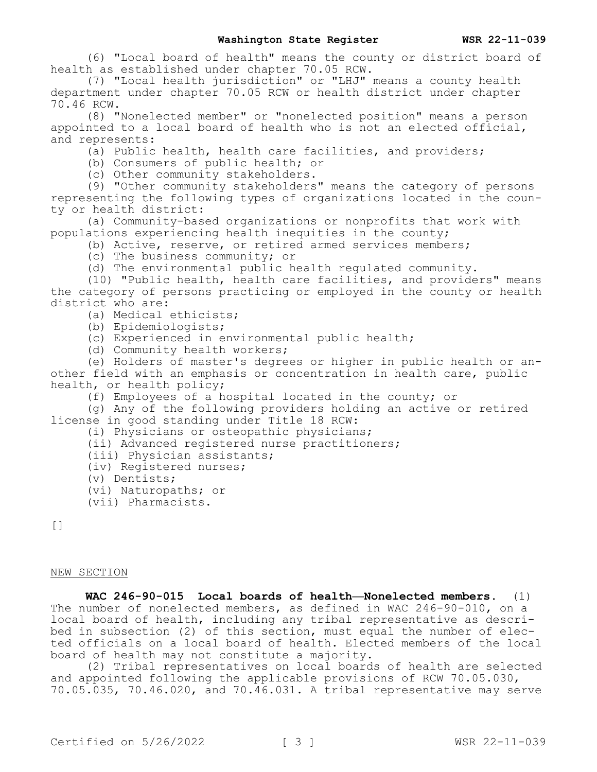(6) "Local board of health" means the county or district board of health as established under chapter 70.05 RCW.

(7) "Local health jurisdiction" or "LHJ" means a county health department under chapter 70.05 RCW or health district under chapter 70.46 RCW.

(8) "Nonelected member" or "nonelected position" means a person appointed to a local board of health who is not an elected official, and represents:

(a) Public health, health care facilities, and providers;

(b) Consumers of public health; or

(c) Other community stakeholders.

(9) "Other community stakeholders" means the category of persons representing the following types of organizations located in the county or health district:

(a) Community-based organizations or nonprofits that work with populations experiencing health inequities in the county;

(b) Active, reserve, or retired armed services members;

(c) The business community; or

(d) The environmental public health regulated community.

(10) "Public health, health care facilities, and providers" means the category of persons practicing or employed in the county or health district who are:

(a) Medical ethicists;

(b) Epidemiologists;

(c) Experienced in environmental public health;

(d) Community health workers;

(e) Holders of master's degrees or higher in public health or another field with an emphasis or concentration in health care, public health, or health policy;

(f) Employees of a hospital located in the county; or

(g) Any of the following providers holding an active or retired license in good standing under Title 18 RCW:

(i) Physicians or osteopathic physicians;

(ii) Advanced registered nurse practitioners;

(iii) Physician assistants;

(iv) Registered nurses;

(v) Dentists;

(vi) Naturopaths; or

(vii) Pharmacists.

 $\lceil$ ]

NEW SECTION

**WAC 246-90-015 Local boards of health—Nonelected members.** (1) The number of nonelected members, as defined in WAC 246-90-010, on a local board of health, including any tribal representative as described in subsection (2) of this section, must equal the number of elected officials on a local board of health. Elected members of the local board of health may not constitute a majority.

(2) Tribal representatives on local boards of health are selected and appointed following the applicable provisions of RCW 70.05.030, 70.05.035, 70.46.020, and 70.46.031. A tribal representative may serve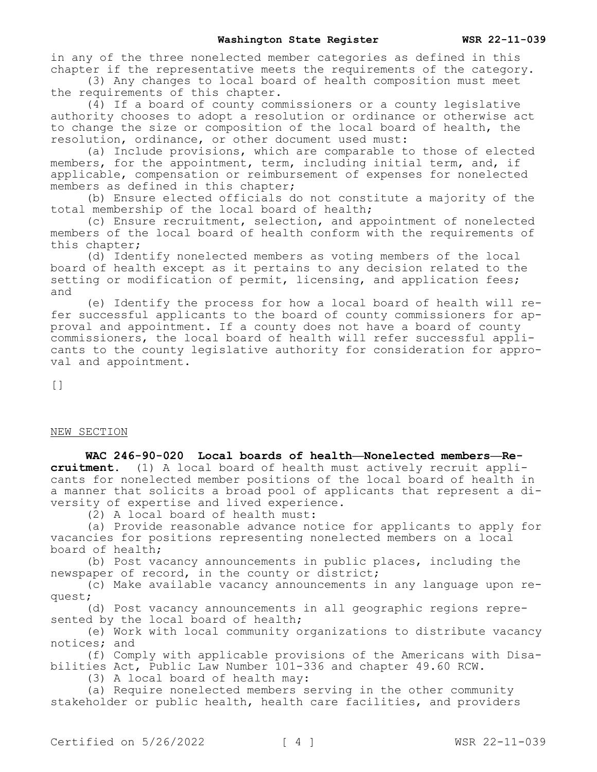in any of the three nonelected member categories as defined in this chapter if the representative meets the requirements of the category.

(3) Any changes to local board of health composition must meet the requirements of this chapter.

(4) If a board of county commissioners or a county legislative authority chooses to adopt a resolution or ordinance or otherwise act to change the size or composition of the local board of health, the resolution, ordinance, or other document used must:

(a) Include provisions, which are comparable to those of elected members, for the appointment, term, including initial term, and, if applicable, compensation or reimbursement of expenses for nonelected members as defined in this chapter;

(b) Ensure elected officials do not constitute a majority of the total membership of the local board of health;

(c) Ensure recruitment, selection, and appointment of nonelected members of the local board of health conform with the requirements of this chapter;

(d) Identify nonelected members as voting members of the local board of health except as it pertains to any decision related to the setting or modification of permit, licensing, and application fees; and

(e) Identify the process for how a local board of health will refer successful applicants to the board of county commissioners for approval and appointment. If a county does not have a board of county commissioners, the local board of health will refer successful applicants to the county legislative authority for consideration for approval and appointment.

 $[$ 

## NEW SECTION

**WAC 246-90-020 Local boards of health—Nonelected members—Recruitment.** (1) A local board of health must actively recruit applicants for nonelected member positions of the local board of health in a manner that solicits a broad pool of applicants that represent a diversity of expertise and lived experience.

(2) A local board of health must:

(a) Provide reasonable advance notice for applicants to apply for vacancies for positions representing nonelected members on a local board of health;

(b) Post vacancy announcements in public places, including the newspaper of record, in the county or district;

(c) Make available vacancy announcements in any language upon request;

(d) Post vacancy announcements in all geographic regions represented by the local board of health;

(e) Work with local community organizations to distribute vacancy notices; and

(f) Comply with applicable provisions of the Americans with Disabilities Act, Public Law Number 101-336 and chapter 49.60 RCW.

(3) A local board of health may:

(a) Require nonelected members serving in the other community stakeholder or public health, health care facilities, and providers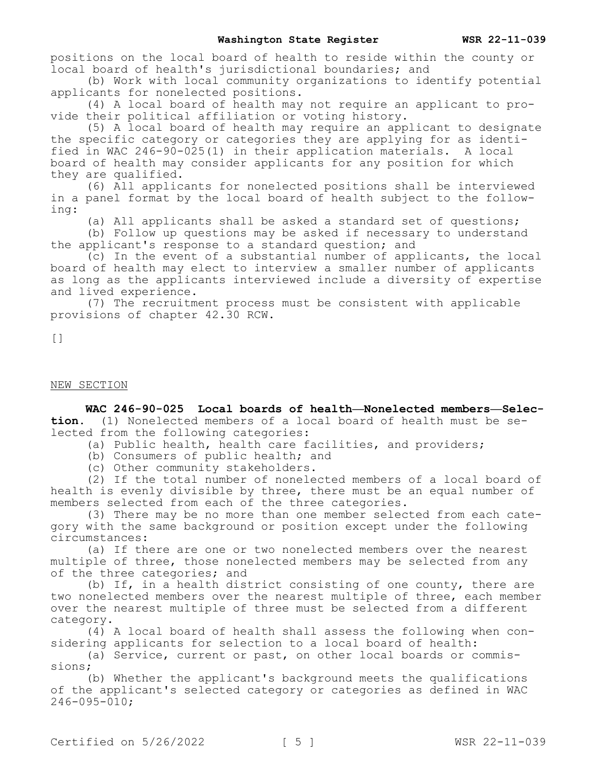positions on the local board of health to reside within the county or local board of health's jurisdictional boundaries; and

(b) Work with local community organizations to identify potential applicants for nonelected positions.

(4) A local board of health may not require an applicant to provide their political affiliation or voting history.

(5) A local board of health may require an applicant to designate the specific category or categories they are applying for as identified in WAC 246-90-025(1) in their application materials. A local board of health may consider applicants for any position for which they are qualified.

(6) All applicants for nonelected positions shall be interviewed in a panel format by the local board of health subject to the following:

(a) All applicants shall be asked a standard set of questions;

(b) Follow up questions may be asked if necessary to understand the applicant's response to a standard question; and

(c) In the event of a substantial number of applicants, the local board of health may elect to interview a smaller number of applicants as long as the applicants interviewed include a diversity of expertise and lived experience.

(7) The recruitment process must be consistent with applicable provisions of chapter 42.30 RCW.

[]

#### NEW SECTION

**WAC 246-90-025 Local boards of health—Nonelected members—Selection.** (1) Nonelected members of a local board of health must be selected from the following categories:

(a) Public health, health care facilities, and providers;

(b) Consumers of public health; and

(c) Other community stakeholders.

(2) If the total number of nonelected members of a local board of health is evenly divisible by three, there must be an equal number of members selected from each of the three categories.

(3) There may be no more than one member selected from each category with the same background or position except under the following circumstances:

(a) If there are one or two nonelected members over the nearest multiple of three, those nonelected members may be selected from any of the three categories; and

(b) If, in a health district consisting of one county, there are two nonelected members over the nearest multiple of three, each member over the nearest multiple of three must be selected from a different category.

(4) A local board of health shall assess the following when considering applicants for selection to a local board of health:

(a) Service, current or past, on other local boards or commissions;

(b) Whether the applicant's background meets the qualifications of the applicant's selected category or categories as defined in WAC 246-095-010;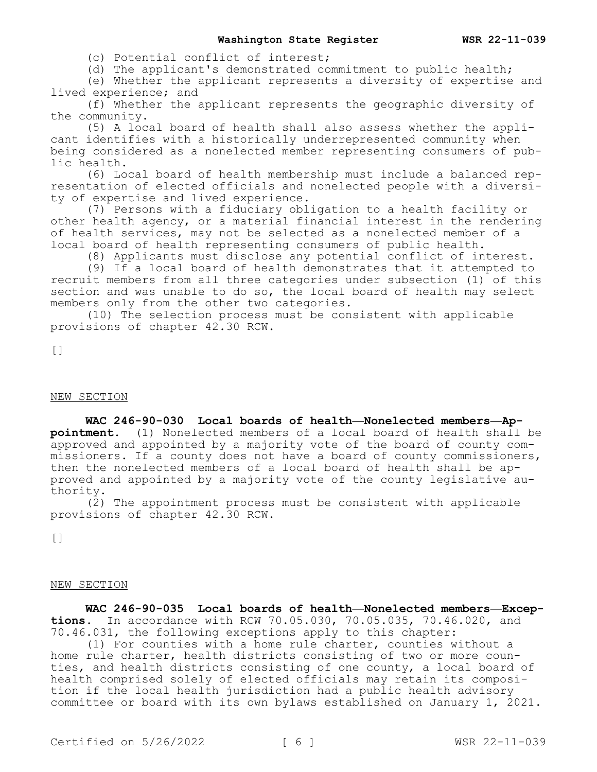(c) Potential conflict of interest;

(d) The applicant's demonstrated commitment to public health;

(e) Whether the applicant represents a diversity of expertise and lived experience; and

(f) Whether the applicant represents the geographic diversity of the community.

(5) A local board of health shall also assess whether the applicant identifies with a historically underrepresented community when being considered as a nonelected member representing consumers of public health.

(6) Local board of health membership must include a balanced representation of elected officials and nonelected people with a diversity of expertise and lived experience.

(7) Persons with a fiduciary obligation to a health facility or other health agency, or a material financial interest in the rendering of health services, may not be selected as a nonelected member of a local board of health representing consumers of public health.

(8) Applicants must disclose any potential conflict of interest.

(9) If a local board of health demonstrates that it attempted to recruit members from all three categories under subsection (1) of this section and was unable to do so, the local board of health may select members only from the other two categories.

(10) The selection process must be consistent with applicable provisions of chapter 42.30 RCW.

 $[$ 

## NEW SECTION

# **WAC 246-90-030 Local boards of health—Nonelected members—Appointment.** (1) Nonelected members of a local board of health shall be approved and appointed by a majority vote of the board of county commissioners. If a county does not have a board of county commissioners, then the nonelected members of a local board of health shall be approved and appointed by a majority vote of the county legislative authority.

(2) The appointment process must be consistent with applicable provisions of chapter 42.30 RCW.

[]

#### NEW SECTION

**WAC 246-90-035 Local boards of health—Nonelected members—Exceptions.** In accordance with RCW 70.05.030, 70.05.035, 70.46.020, and 70.46.031, the following exceptions apply to this chapter:

(1) For counties with a home rule charter, counties without a home rule charter, health districts consisting of two or more counties, and health districts consisting of one county, a local board of health comprised solely of elected officials may retain its composition if the local health jurisdiction had a public health advisory committee or board with its own bylaws established on January 1, 2021.